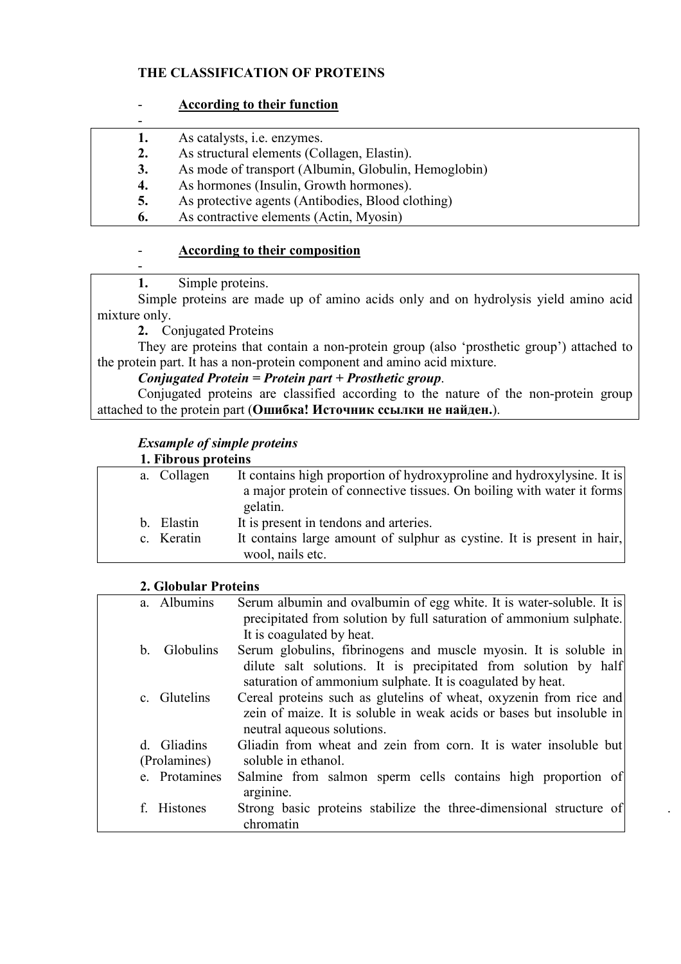# **THE CLASSIFICATION OF PROTEINS**

### - **According to their function**

|    | As catalysts, <i>i.e.</i> enzymes.                   |
|----|------------------------------------------------------|
| 2. | As structural elements (Collagen, Elastin).          |
| 3. | As mode of transport (Albumin, Globulin, Hemoglobin) |
| 4. | As hormones (Insulin, Growth hormones).              |
| 5. | As protective agents (Antibodies, Blood clothing)    |
| 6. | As contractive elements (Actin, Myosin)              |

# - **According to their composition**

**1.** Simple proteins.

-

Simple proteins are made up of amino acids only and on hydrolysis yield amino acid mixture only.

**2.** Conjugated Proteins

They are proteins that contain a non-protein group (also 'prosthetic group') attached to the protein part. It has a non-protein component and amino acid mixture.

# *Conjugated Protein = Protein part + Prosthetic group*.

Conjugated proteins are classified according to the nature of the non-protein group attached to the protein part (**Ошибка! Источник ссылки не найден.**).

# *Exsample of simple proteins*

| a. Collagen | It contains high proportion of hydroxyproline and hydroxylysine. It is |
|-------------|------------------------------------------------------------------------|
|             | a major protein of connective tissues. On boiling with water it forms  |
|             | gelatin.                                                               |
| b. Elastin  | It is present in tendons and arteries.                                 |
| c. Keratin  | It contains large amount of sulphur as cystine. It is present in hair, |
|             | wool, nails etc.                                                       |

### **2. Globular Proteins**

| a. Albumins                 | Serum albumin and ovalbumin of egg white. It is water-soluble. It is<br>precipitated from solution by full saturation of ammonium sulphate.<br>It is coagulated by heat.                          |
|-----------------------------|---------------------------------------------------------------------------------------------------------------------------------------------------------------------------------------------------|
| <b>Globulins</b><br>h       | Serum globulins, fibrinogens and muscle myosin. It is soluble in<br>dilute salt solutions. It is precipitated from solution by half<br>saturation of ammonium sulphate. It is coagulated by heat. |
| c. Glutelins                | Cereal proteins such as glutelins of wheat, oxyzenin from rice and<br>zein of maize. It is soluble in weak acids or bases but insoluble in<br>neutral aqueous solutions.                          |
| d. Gliadins<br>(Prolamines) | Gliadin from wheat and zein from corn. It is water insoluble but<br>soluble in ethanol.                                                                                                           |
| e. Protamines               | Salmine from salmon sperm cells contains high proportion of<br>arginine.                                                                                                                          |
| f. Histones                 | Strong basic proteins stabilize the three-dimensional structure of<br>chromatin                                                                                                                   |

.